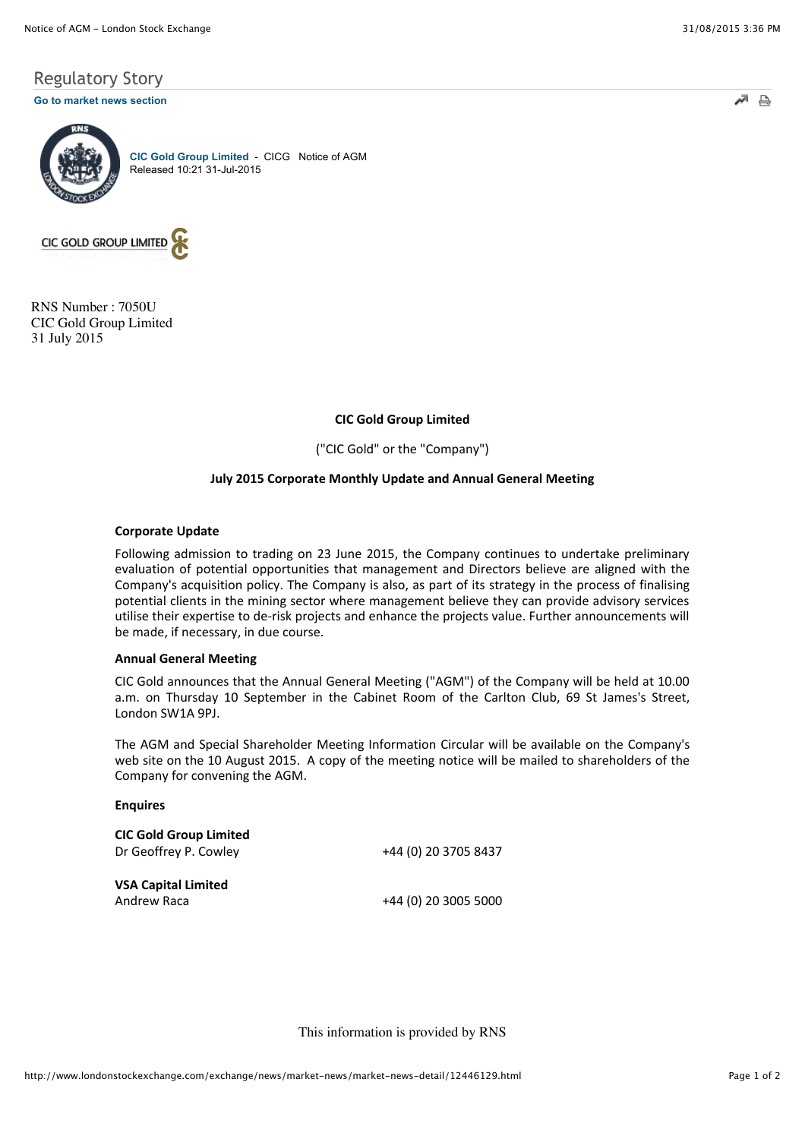# Regulatory Story

#### **[Go to market news section](javascript:%20sendto()**



**[CIC Gold Group Limited](http://www.londonstockexchange.com/exchange/prices-and-markets/stocks/summary/company-summary-via-tidm.html?tidm=CICG)** - CICG Notice of AGM Released 10:21 31-Jul-2015



RNS Number : 7050U CIC Gold Group Limited 31 July 2015

# **CIC Gold Group Limited**

("CIC Gold" or the "Company")

# **July 2015 Corporate Monthly Update and Annual General Meeting**

#### **Corporate Update**

Following admission to trading on 23 June 2015, the Company continues to undertake preliminary evaluation of potential opportunities that management and Directors believe are aligned with the Company's acquisition policy. The Company is also, as part of its strategy in the process of finalising potential clients in the mining sector where management believe they can provide advisory services utilise their expertise to de-risk projects and enhance the projects value. Further announcements will be made, if necessary, in due course.

#### **Annual General Meeting**

CIC Gold announces that the Annual General Meeting ("AGM") of the Company will be held at 10.00 a.m. on Thursday 10 September in the Cabinet Room of the Carlton Club, 69 St James's Street, London SW1A 9PJ.

The AGM and Special Shareholder Meeting Information Circular will be available on the Company's web site on the 10 August 2015. A copy of the meeting notice will be mailed to shareholders of the Company for convening the AGM.

# **Enquires**

| <b>CIC Gold Group Limited</b> |                      |
|-------------------------------|----------------------|
| Dr Geoffrey P. Cowley         | +44 (0) 20 3705 8437 |
|                               |                      |
| <b>VSA Capital Limited</b>    |                      |
| Andrew Raca                   | +44 (0) 20 3005 5000 |

This information is provided by RNS

 $\Rightarrow$